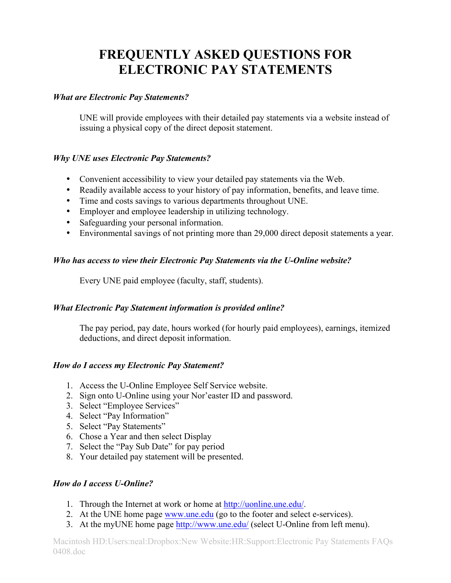# **FREQUENTLY ASKED QUESTIONS FOR ELECTRONIC PAY STATEMENTS**

## *What are Electronic Pay Statements?*

UNE will provide employees with their detailed pay statements via a website instead of issuing a physical copy of the direct deposit statement.

# *Why UNE uses Electronic Pay Statements?*

- Convenient accessibility to view your detailed pay statements via the Web.
- Readily available access to your history of pay information, benefits, and leave time.
- Time and costs savings to various departments throughout UNE.
- Employer and employee leadership in utilizing technology.
- Safeguarding your personal information.
- Environmental savings of not printing more than 29,000 direct deposit statements a year.

## *Who has access to view their Electronic Pay Statements via the U-Online website?*

Every UNE paid employee (faculty, staff, students).

# *What Electronic Pay Statement information is provided online?*

The pay period, pay date, hours worked (for hourly paid employees), earnings, itemized deductions, and direct deposit information.

# *How do I access my Electronic Pay Statement?*

- 1. Access the U-Online Employee Self Service website.
- 2. Sign onto U-Online using your Nor'easter ID and password.
- 3. Select "Employee Services"
- 4. Select "Pay Information"
- 5. Select "Pay Statements"
- 6. Chose a Year and then select Display
- 7. Select the "Pay Sub Date" for pay period
- 8. Your detailed pay statement will be presented.

# *How do I access U-Online?*

- 1. Through the Internet at work or home at http://uonline.une.edu/.
- 2. At the UNE home page www.une.edu (go to the footer and select e-services).
- 3. At the myUNE home page http://www.une.edu/ (select U-Online from left menu).

Macintosh HD:Users:neal:Dropbox:New Website:HR:Support:Electronic Pay Statements FAQs 0408.doc